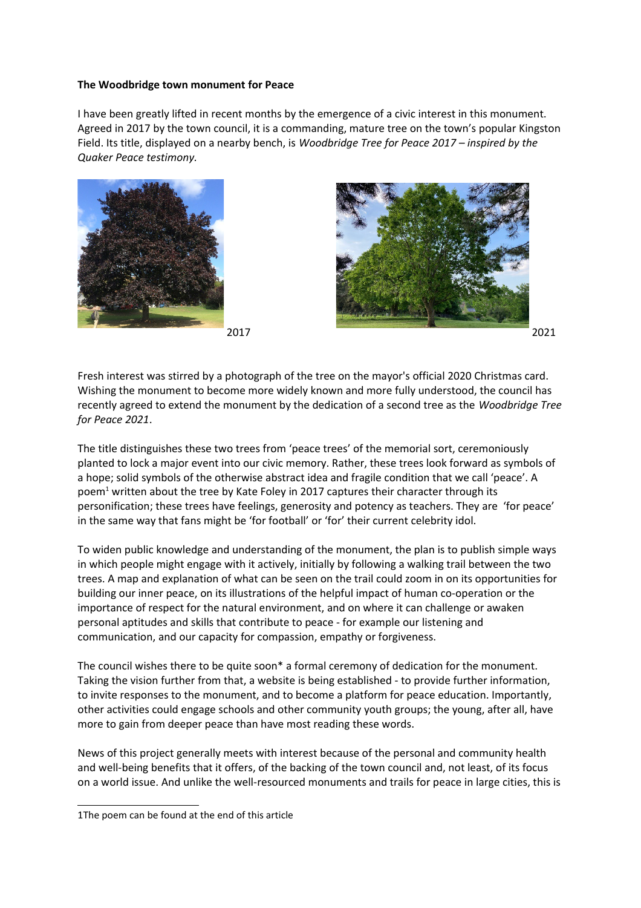## **The Woodbridge town monument for Peace**

I have been greatly lifted in recent months by the emergence of a civic interest in this monument. Agreed in 2017 by the town council, it is a commanding, mature tree on the town's popular Kingston Field. Its title, displayed on a nearby bench, is *Woodbridge Tree for Peace 2017 – inspired by the Quaker Peace testimony.*







Fresh interest was stirred by a photograph of the tree on the mayor's official 2020 Christmas card. Wishing the monument to become more widely known and more fully understood, the council has recently agreed to extend the monument by the dedication of a second tree as the *Woodbridge Tree for Peace 2021*.

The title distinguishes these two trees from 'peace trees' of the memorial sort, ceremoniously planted to lock a major event into our civic memory. Rather, these trees look forward as symbols of a hope; solid symbols of the otherwise abstract idea and fragile condition that we call 'peace'. A poem<sup>[1](#page-0-0)</sup> written about the tree by Kate Foley in 2017 captures their character through its personification; these trees have feelings, generosity and potency as teachers. They are 'for peace' in the same way that fans might be 'for football' or 'for' their current celebrity idol.

To widen public knowledge and understanding of the monument, the plan is to publish simple ways in which people might engage with it actively, initially by following a walking trail between the two trees. A map and explanation of what can be seen on the trail could zoom in on its opportunities for building our inner peace, on its illustrations of the helpful impact of human co-operation or the importance of respect for the natural environment, and on where it can challenge or awaken personal aptitudes and skills that contribute to peace - for example our listening and communication, and our capacity for compassion, empathy or forgiveness.

The council wishes there to be quite soon\* a formal ceremony of dedication for the monument. Taking the vision further from that, a website is being established - to provide further information, to invite responses to the monument, and to become a platform for peace education. Importantly, other activities could engage schools and other community youth groups; the young, after all, have more to gain from deeper peace than have most reading these words.

News of this project generally meets with interest because of the personal and community health and well-being benefits that it offers, of the backing of the town council and, not least, of its focus on a world issue. And unlike the well-resourced monuments and trails for peace in large cities, this is

<span id="page-0-0"></span><sup>1</sup>The poem can be found at the end of this article